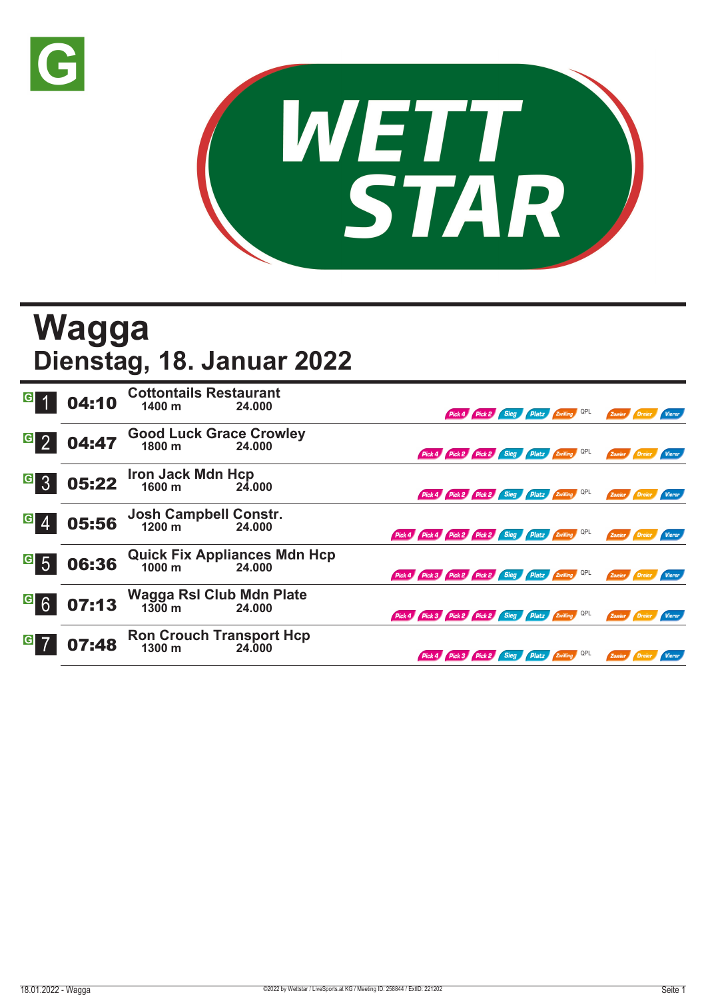



## **Wagga Dienstag, 18. Januar 2022**

| $\vert G \vert$            | 04:10 | <b>Cottontails Restaurant</b><br>1400 m   | 24.000                                        |                                                     | Pick 4 Pick 2 Sieg Platz Zwilling QPL        |  |  | Zweier               |                      |               |
|----------------------------|-------|-------------------------------------------|-----------------------------------------------|-----------------------------------------------------|----------------------------------------------|--|--|----------------------|----------------------|---------------|
| $G_{2}$                    | 04:47 | <b>Good Luck Grace Crowley</b><br>1800 m  | 24.000                                        |                                                     | Pick 4 Pick 2 Pick 2 Sieg Platz Zwilling QPL |  |  | Zweier               |                      | <b>Vierer</b> |
| <sup>G</sup> 3             | 05:22 | Iron Jack Mdn Hcp<br>1600 m 24.0          | 24.000                                        |                                                     | Pick 4 Pick 2 Pick 2 Sieg Platz Zwilling QPL |  |  | Zweier               |                      | Vierer        |
| $\vert G \vert$            | 05:56 | Josh Campbell Constr.<br>1200 m 24.000    | 24.000                                        | Pick 4 Pick 4 Pick 2 Pick 2 Sieg Platz Zwilling QPL |                                              |  |  | Zweier               |                      | <b>Vierer</b> |
| $\overline{\phantom{a}}$ 5 | 06:36 |                                           | Quick Fix Appliances Mdn Hcp<br>1000 m 24.000 | Pick 4 Pick 3 Pick 2 Pick 2 Sieg Platz Zwilling QPL |                                              |  |  | Zweier               | Dreier               | Vierer        |
| <sup>G</sup> 6             | 07:13 | Wagga Rsl Club Mdn Plate<br>1300 m 24.000 |                                               | Pick 4 Pick 3 Pick 2 Pick 2 Sieg Platz Zwilling QPL |                                              |  |  |                      | Zweier Dreier Vierer |               |
| $\vert G \vert$            | 07:48 | Ron Crouch Transport Hcp<br>1300 m 24.000 |                                               |                                                     | Pick 4 Pick 3 Pick 2 Sieg Platz Zwilling QPL |  |  | Zweier <b>Dreier</b> |                      | Vierer        |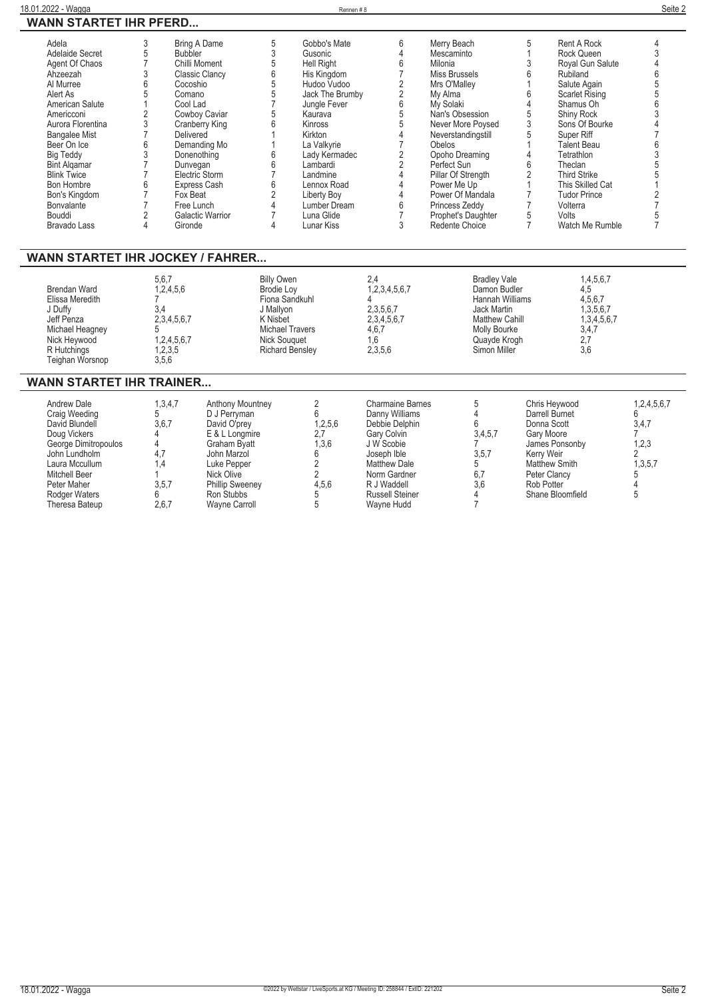| Adela<br>Adelaide Secret<br>Agent Of Chaos<br>Ahzeezah<br>Al Murree<br>Alert As<br>American Salute<br>Americconi<br>Aurora Florentina<br><b>Bangalee Mist</b><br>Beer On Ice<br><b>Big Teddy</b><br><b>Bint Algamar</b><br><b>Blink Twice</b><br>Bon Hombre<br>Bon's Kingdom<br>Bonvalante<br>Bouddi<br><b>Bravado Lass</b><br>WANN STARTET IHR JOCKEY / FAHRER | 3<br>Bring A Dame<br>5<br><b>Bubbler</b><br>$\overline{7}$<br>Chilli Moment<br>3<br><b>Classic Clancy</b><br>6<br>Cocoshio<br>5<br>Comano<br>$\overline{1}$<br>Cool Lad<br>$\overline{2}$<br>Cowboy Caviar<br>3<br><b>Cranberry King</b><br>$\overline{7}$<br>Delivered<br>6<br>Demanding Mo<br>3<br>Donenothing<br>$\overline{7}$<br>Dunvegan<br>7<br>Electric Storm<br>6<br>Express Cash<br>$\overline{7}$<br>Fox Beat<br>$\overline{7}$<br>Free Lunch<br>$\overline{2}$<br>Galactic Warrior<br>4<br>Gironde | 5<br>$\mathfrak{z}$<br>$\overline{5}$<br>6<br>5<br>5<br>$\overline{7}$<br>5<br>$6\phantom{a}$<br>1<br>1<br>6<br>$\boldsymbol{6}$<br>$\overline{7}$<br>6<br>$\sqrt{2}$<br>$\overline{4}$<br>$\overline{7}$<br>4 | Gobbo's Mate<br>Gusonic<br><b>Hell Right</b><br>His Kingdom<br>Hudoo Vudoo<br>Jack The Brumby<br>Jungle Fever<br>Kaurava<br>Kinross<br>Kirkton<br>La Valkvrie<br>Lady Kermadec<br>Lambardi<br>Landmine<br>Lennox Road<br><b>Liberty Boy</b><br>Lumber Dream<br>Luna Glide<br>Lunar Kiss | 6<br>$\overline{4}$<br>6<br>$\overline{7}$<br>$\overline{2}$<br>$\overline{2}$<br>6<br>$\frac{5}{5}$<br>$\overline{4}$<br>$\overline{7}$<br>$\overline{c}$<br>$\overline{2}$<br>$\overline{4}$<br>$\Delta$<br>$\overline{4}$<br>6<br>$\overline{7}$<br>3 | Merry Beach<br>Mescaminto<br>Milonia<br>Miss Brussels<br>Mrs O'Malley<br>My Alma<br>My Solaki<br>Nan's Obsession<br>Never More Poysed<br>Neverstandingstill<br>Obelos<br>Opoho Dreaming<br>Perfect Sun<br>Pillar Of Strength<br>Power Me Up<br>Power Of Mandala<br>Princess Zeddy<br>Prophet's Daughter<br>Redente Choice | 5<br>$\mathbf{1}$<br>3<br>6<br>Rubiland<br>$\mathbf{1}$<br>6<br>$\overline{4}$<br>5<br>$\overline{3}$<br>5<br>$\mathbf{1}$<br>$\overline{4}$<br>6<br>Theclan<br>$\overline{2}$<br>$\mathbf{1}$<br>$\overline{7}$<br>$\overline{7}$<br>Volterra<br>5<br>Volts<br>$\overline{7}$ | <b>Rent A Rock</b><br>Rock Queen<br>Royal Gun Salute<br>Salute Again<br>Scarlet Rising<br>Shamus Oh<br>Shiny Rock<br>Sons Of Bourke<br>Super Riff<br><b>Talent Beau</b><br>Tetrathlon<br><b>Third Strike</b><br>This Skilled Cat<br><b>Tudor Prince</b><br>Watch Me Rumble | 4<br>3<br>4<br>6<br>5<br>5<br>6<br>3<br>$\overline{4}$<br>7<br>6<br>3<br>5<br>5<br>$\mathbf{1}$<br>$\overline{2}$<br>$\overline{7}$<br>5<br>$\overline{7}$ |
|-----------------------------------------------------------------------------------------------------------------------------------------------------------------------------------------------------------------------------------------------------------------------------------------------------------------------------------------------------------------|----------------------------------------------------------------------------------------------------------------------------------------------------------------------------------------------------------------------------------------------------------------------------------------------------------------------------------------------------------------------------------------------------------------------------------------------------------------------------------------------------------------|----------------------------------------------------------------------------------------------------------------------------------------------------------------------------------------------------------------|-----------------------------------------------------------------------------------------------------------------------------------------------------------------------------------------------------------------------------------------------------------------------------------------|----------------------------------------------------------------------------------------------------------------------------------------------------------------------------------------------------------------------------------------------------------|---------------------------------------------------------------------------------------------------------------------------------------------------------------------------------------------------------------------------------------------------------------------------------------------------------------------------|--------------------------------------------------------------------------------------------------------------------------------------------------------------------------------------------------------------------------------------------------------------------------------|----------------------------------------------------------------------------------------------------------------------------------------------------------------------------------------------------------------------------------------------------------------------------|------------------------------------------------------------------------------------------------------------------------------------------------------------|
| Brendan Ward<br>Elissa Meredith<br>J Duffy<br>Jeff Penza<br>Michael Heagney<br>Nick Heywood<br>R Hutchings<br>Teighan Worsnop<br><b>WANN STARTET IHR TRAINER</b><br><b>Andrew Dale</b>                                                                                                                                                                          | 5,6,7<br>1,2,4,5,6<br>$\overline{7}$<br>3.4<br>2,3,4,5,6,7<br>5<br>1,2,4,5,6,7<br>1,2,3,5<br>3,5,6<br>1.3.4.7                                                                                                                                                                                                                                                                                                                                                                                                  | <b>Billy Owen</b><br><b>Brodie Lov</b><br>Fiona Sandkuhl<br>J Mallyon<br>K Nisbet<br><b>Michael Travers</b><br><b>Nick Souguet</b><br><b>Richard Benslev</b><br><b>Anthony Mountney</b>                        | $\overline{2}$                                                                                                                                                                                                                                                                          | 2,4<br>1,2,3,4,5,6,7<br>4<br>2,3,5,6,7<br>2,3,4,5,6,7<br>4,6,7<br>1.6<br>2,3,5,6<br><b>Charmaine Barnes</b>                                                                                                                                              | <b>Bradley Vale</b><br>Damon Budler<br><b>Hannah Williams</b><br>Jack Martin<br><b>Matthew Cahill</b><br>Molly Bourke<br>Quayde Krogh<br>Simon Miller<br>5                                                                                                                                                                | Chris Heywood                                                                                                                                                                                                                                                                  | 1,4,5,6,7<br>4,5<br>4,5,6,7<br>1,3,5,6,7<br>1, 3, 4, 5, 6, 7<br>3,4,7<br>2,7<br>3.6                                                                                                                                                                                        | 1,2,4,5,6,7                                                                                                                                                |
| Craig Weeding<br>David Blundell<br>Doug Vickers<br>George Dimitropoulos<br>John Lundholm<br>Laura Mccullum<br>Mitchell Beer<br>Peter Maher<br><b>Rodger Waters</b><br>Theresa Bateup                                                                                                                                                                            | 5<br>3.6.7<br>4<br>4<br>4,7<br>1.4<br>3.5.7<br>6<br>2.6.7                                                                                                                                                                                                                                                                                                                                                                                                                                                      | D J Perryman<br>David O'prey<br>E & L Longmire<br>Graham Byatt<br>John Marzol<br>Luke Pepper<br>Nick Olive<br><b>Phillip Sweeney</b><br>Ron Stubbs<br><b>Wayne Carroll</b>                                     | 6<br>1,2,5,6<br>2.7<br>1,3,6<br>6<br>$\overline{2}$<br>$\overline{2}$<br>4,5,6<br>5<br>5                                                                                                                                                                                                | Danny Williams<br>Debbie Delphin<br>Gary Colvin<br>J W Scobie<br>Joseph Ible<br><b>Matthew Dale</b><br>Norm Gardner<br>R J Waddell<br><b>Russell Steiner</b><br>Wayne Hudd                                                                               | $\overline{4}$<br>6<br>3,4,5,7<br>$\overline{7}$<br>3,5,7<br>5<br>6.7<br>3.6<br>4<br>$\overline{7}$                                                                                                                                                                                                                       | Darrell Burnet<br>Donna Scott<br>Gary Moore<br>James Ponsonby<br>Kerry Weir<br>Matthew Smith<br>Peter Clancy<br>Rob Potter<br>Shane Bloomfield                                                                                                                                 |                                                                                                                                                                                                                                                                            | 6<br>3,4,7<br>$\overline{7}$<br>1,2,3<br>$\overline{2}$<br>1,3,5,7<br>5<br>$\overline{4}$<br>5                                                             |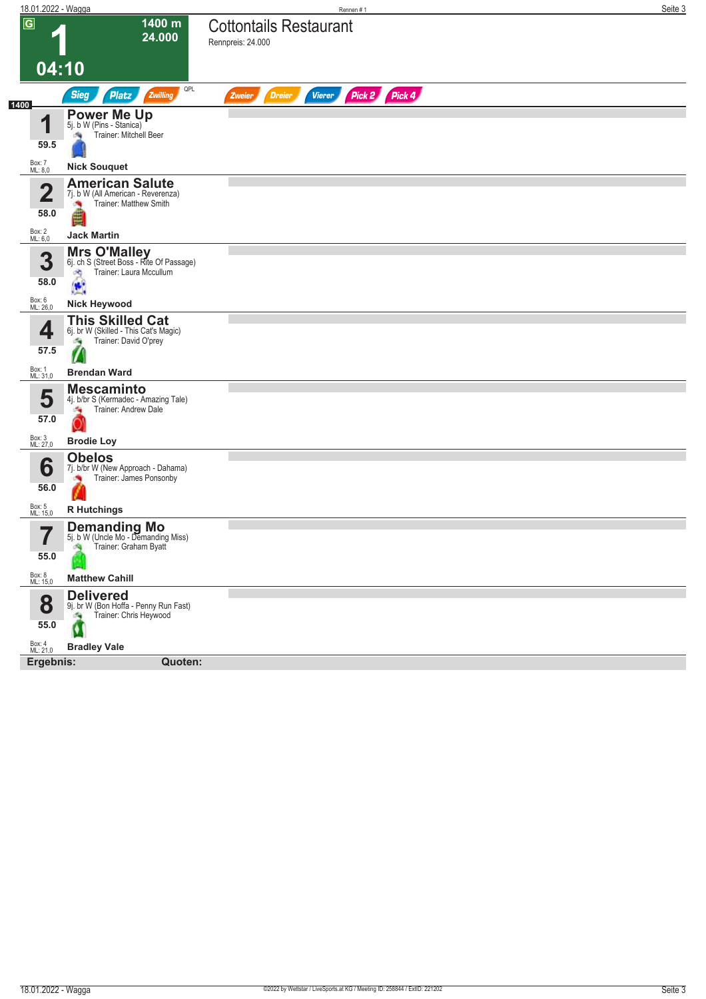| 18.01.2022 - Wagga       |                                                                       | Rennen #1                                                 | Seite 3 |
|--------------------------|-----------------------------------------------------------------------|-----------------------------------------------------------|---------|
| $\overline{G}$           | 1400 m<br>24.000                                                      | <b>Cottontails Restaurant</b><br>Rennpreis: 24.000        |         |
|                          |                                                                       |                                                           |         |
| 04:10                    |                                                                       |                                                           |         |
|                          | QPL<br><b>Sieg</b><br>Platz<br>Zwilling                               | Pick 2 Pick 4<br><b>Dreier</b><br><b>Vierer</b><br>Zweier |         |
| 1400                     | <b>Power Me Up</b><br>5j. b W (Pins - Stanica)                        |                                                           |         |
| 1                        | Trainer: Mitchell Beer                                                |                                                           |         |
| 59.5                     |                                                                       |                                                           |         |
| Box: 7<br>ML: 8,0        | <b>Nick Souquet</b>                                                   |                                                           |         |
| $\overline{\mathbf{2}}$  | <b>American Salute</b><br>7j. b W (All American - Reverenza)          |                                                           |         |
|                          | Trainer: Matthew Smith                                                |                                                           |         |
| 58.0                     |                                                                       |                                                           |         |
| Box: 2<br>ML: 6,0        | <b>Jack Martin</b>                                                    |                                                           |         |
| 3                        | <b>Mrs O'Malley</b><br>6j. ch S (Street Boss - Rite Of Passage)       |                                                           |         |
| 58.0                     | Trainer: Laura Mccullum<br>×,                                         |                                                           |         |
| Box: 6<br>ML: 26,0       | $\bullet$<br><b>Nick Heywood</b>                                      |                                                           |         |
|                          | <b>This Skilled Cat</b>                                               |                                                           |         |
| 4                        | 6j. br W (Skilled - This Cat's Magic)<br>Trainer: David O'prey<br>÷,  |                                                           |         |
| 57.5                     |                                                                       |                                                           |         |
| Box: 1<br>ML: 31,0       | <b>Brendan Ward</b>                                                   |                                                           |         |
|                          | <b>Mescaminto</b>                                                     |                                                           |         |
| 5                        | 4j. b/br S (Kermadec - Amazing Tale)<br>Trainer: Andrew Dale<br>÷,    |                                                           |         |
| 57.0                     |                                                                       |                                                           |         |
| Box: 3<br>ML: 27,0       | <b>Brodie Loy</b>                                                     |                                                           |         |
| 6                        | <b>Obelos</b><br>7j. b/br W (New Approach - Dahama)                   |                                                           |         |
| 56.0                     | Trainer: James Ponsonby<br>漁                                          |                                                           |         |
|                          |                                                                       |                                                           |         |
| Box: 5<br>ML: 15,0       | <b>R</b> Hutchings                                                    |                                                           |         |
| $\overline{\phantom{a}}$ | <b>Demanding Mo</b><br>5j. b W (Uncle Mo - Demanding Miss)            |                                                           |         |
| 55.0                     | Trainer: Graham Byatt                                                 |                                                           |         |
| Box: 8<br>ML: 15,0       | <b>Matthew Cahill</b>                                                 |                                                           |         |
|                          | <b>Delivered</b>                                                      |                                                           |         |
| 8                        | 9j. br W (Bon Hoffa - Penny Run Fast)<br>Trainer: Chris Heywood<br>×, |                                                           |         |
| 55.0                     | Ø                                                                     |                                                           |         |
| Box: 4<br>ML: 21,0       | <b>Bradley Vale</b>                                                   |                                                           |         |
| Ergebnis:                | Quoten:                                                               |                                                           |         |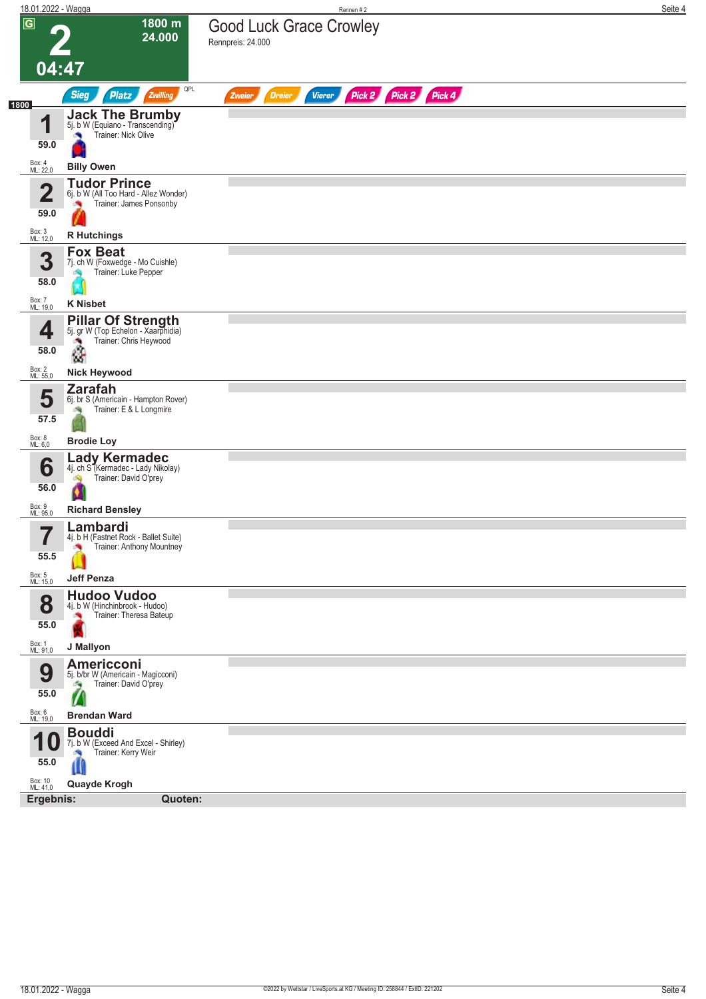| 18.01.2022 - Wagga               |                                                                                                 | Rennen #2                                                 | Seite 4 |
|----------------------------------|-------------------------------------------------------------------------------------------------|-----------------------------------------------------------|---------|
| $\overline{G}$                   | 1800 m<br>24.000                                                                                | <b>Good Luck Grace Crowley</b><br>Rennpreis: 24.000       |         |
| 04:47                            |                                                                                                 |                                                           |         |
| 1800                             | QPL<br><b>Sieg</b><br>Platz<br>Zwilling                                                         | Pick 2 Pick 2 Pick 4<br>Vierer<br><b>Dreier</b><br>Zweier |         |
| и<br>59.0                        | <b>Jack The Brumby</b><br>5j. b W (Equiano - Transcending)<br>Trainer: Nick Olive               |                                                           |         |
| Box: 4<br>ML: 22,0               | <b>Billy Owen</b>                                                                               |                                                           |         |
| $\overline{\mathbf{2}}$<br>59.0  | <b>Tudor Prince</b><br>6j. b W (All Too Hard - Allez Wonder)<br>Trainer: James Ponsonby         |                                                           |         |
| Box: 3<br>ML: 12,0               | <b>R</b> Hutchings                                                                              |                                                           |         |
| 3<br>58.0                        | <b>Fox Beat</b><br>7j. ch W (Foxwedge - Mo Cuishle)<br>Trainer: Luke Pepper                     |                                                           |         |
| Box: 7<br>ML: 19,0               | <b>K Nisbet</b>                                                                                 |                                                           |         |
| 4<br>58.0                        | <b>Pillar Of Strength</b><br>5j. gr W (Top Echelon - Xaarphidia)<br>Trainer: Chris Heywood<br>â |                                                           |         |
| Box: 2<br>ML: 55,0               | <b>Nick Heywood</b>                                                                             |                                                           |         |
| 5<br>57.5                        | <b>Zarafah</b><br>6j. br S (Americain - Hampton Rover)<br>Trainer: E & L Longmire               |                                                           |         |
| Box: 8<br>ML: 6,0                | <b>Brodie Loy</b>                                                                               |                                                           |         |
| 6<br>56.0                        | Lady Kermadec<br>4j. ch S (Kermadec - Lady Nikolay)<br>Trainer: David O'prey<br>N.              |                                                           |         |
| Box: 9<br>ML: 95,0               | <b>Richard Bensley</b>                                                                          |                                                           |         |
| $\overline{\phantom{a}}$<br>55.5 | Lambardi<br>4j. b H (Fastnet Rock - Ballet Suite)<br>Trainer: Anthony Mountney                  |                                                           |         |
| Box: 5<br>ML: 15,0               | <b>Jeff Penza</b>                                                                               |                                                           |         |
| 8<br>55.0                        | <b>Hudoo Vudoo</b><br>4j. b W (Hinchinbrook - Hudoo)<br>Trainer: Theresa Bateup<br>×<br>×       |                                                           |         |
| Box: 1<br>ML: 91,0               | J Mallyon                                                                                       |                                                           |         |
| 9<br>55.0                        | <b>Americconi</b><br>5j. b/br W (Americain - Magicconi)<br>Trainer: David O'prey<br>海<br>V      |                                                           |         |
| Box: 6<br>ML: 19,0               | <b>Brendan Ward</b>                                                                             |                                                           |         |
| U<br>55.0                        | <b>Bouddi</b><br>7j. b W (Exceed And Excel - Shirley)<br>Trainer: Kerry Weir                    |                                                           |         |
| Box: 10<br>ML: 41,0              | Quayde Krogh                                                                                    |                                                           |         |
| Ergebnis:                        | Quoten:                                                                                         |                                                           |         |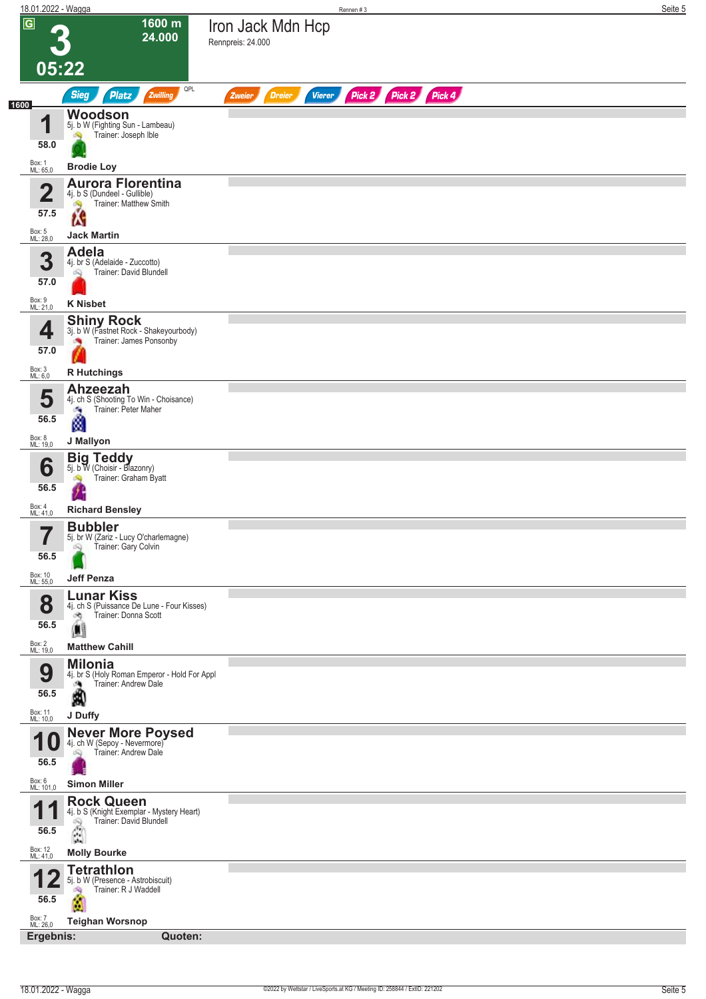| 18.01.2022 - Wagga          |                                                                                                                                          | Seite 5<br>Rennen #3                                             |
|-----------------------------|------------------------------------------------------------------------------------------------------------------------------------------|------------------------------------------------------------------|
| $\overline{G}$              | 1600 m<br>24.000                                                                                                                         | Iron Jack Mdn Hcp<br>Rennpreis: 24.000                           |
| 05:22                       |                                                                                                                                          |                                                                  |
| 1600                        | QPL<br><b>Sieg</b><br><b>Platz</b><br>Zwilling                                                                                           | Pick 2 Pick 2 Pick 4<br><b>Dreier</b><br><b>Vierer</b><br>Zweier |
| И<br>ш                      | Woodson<br>5j. b W (Fighting Sun - Lambeau)                                                                                              |                                                                  |
| 58.0                        | Trainer: Joseph Ible                                                                                                                     |                                                                  |
| Box: 1<br>ML: 65,0          | <b>Brodie Loy</b>                                                                                                                        |                                                                  |
| $\overline{\mathbf{2}}$     | <b>Aurora Florentina</b><br>4j. b S (Dundeel - Gullible)<br>Trainer: Matthew Smith<br>é.                                                 |                                                                  |
| 57.5                        | ĹŜ                                                                                                                                       |                                                                  |
| Box: 5<br>ML: 28,0          | <b>Jack Martin</b><br><b>Adela</b>                                                                                                       |                                                                  |
| 3<br>57.0                   | 4j. br S (Adelaide - Zuccotto)<br>Trainer: David Blundell                                                                                |                                                                  |
| Box: 9<br>ML: 21,0          | <b>K</b> Nisbet                                                                                                                          |                                                                  |
| 4                           | <b>Shiny Rock</b><br>3j. b W (Fastnet Rock - Shakeyourbody)<br>Trainer: James Ponsonby                                                   |                                                                  |
| 57.0                        |                                                                                                                                          |                                                                  |
| Box: 3<br>ML: 6,0           | <b>R</b> Hutchings<br>Ahzeezah                                                                                                           |                                                                  |
| 5<br>56.5                   | 4j. ch S (Shooting To Win - Choisance)<br>Trainer: Peter Maher<br>æ                                                                      |                                                                  |
| Box: 8<br>ML: 19,0          | M<br>J Mallyon                                                                                                                           |                                                                  |
| 6                           | <b>Big Teddy</b><br>5j. b W (Choisir - Blazonry)                                                                                         |                                                                  |
| 56.5                        | Trainer: Graham Byatt                                                                                                                    |                                                                  |
| Box: 4<br>ML: 41,0          | <b>Richard Bensley</b>                                                                                                                   |                                                                  |
| 7<br>$\blacksquare$<br>56.5 | <b>Bubbler</b><br>5j. br W (Zariz - Lucy O'charlemagne)<br>Trainer: Gary Colvin<br>Q                                                     |                                                                  |
| Box: 10<br>ML: 55,0         | <b>Jeff Penza</b>                                                                                                                        |                                                                  |
| 8<br>56.5                   | <b>Lunar Kiss</b><br>4j. ch S (Puissance De Lune - Four Kisses)<br>Trainer: Donna Scott<br>đ,                                            |                                                                  |
| Box: 2<br>ML: 19,0          | <b>Matthew Cahill</b>                                                                                                                    |                                                                  |
| 9<br>56.5                   | <b>Milonia</b><br>4j. br S (Holy Roman Emperor - Hold For Appl<br>Trainer: Andrew Dale<br>熵<br>Â                                         |                                                                  |
| Box: 11<br>ML: 10,0         | J Duffy                                                                                                                                  |                                                                  |
| 56.5                        | Never More Poysed<br>4j. ch W (Sepoy - Nevermore)<br>Trainer: Andrew Dale<br>Ŵ                                                           |                                                                  |
| Box: 6<br>ML: 101,0         | <b>Simon Miller</b>                                                                                                                      |                                                                  |
| И<br>56.5                   | <b>Rock Queen</b><br>4j. b S (Knight Exemplar - Mystery Heart)<br>Trainer: David Blundell<br>Q<br>$\begin{pmatrix} 1 \\ 1 \end{pmatrix}$ |                                                                  |
| Box: 12<br>ML: 41,0         | <b>Molly Bourke</b>                                                                                                                      |                                                                  |
| 56.5                        | <b>Tetrathlon</b><br>5j. b W (Presence - Astrobiscuit)<br>Trainer: R J Waddell<br>d.                                                     |                                                                  |
| Box: 7<br>ML: 26,0          | <b>Teighan Worsnop</b><br>Ergebnis:<br>Quoten:                                                                                           |                                                                  |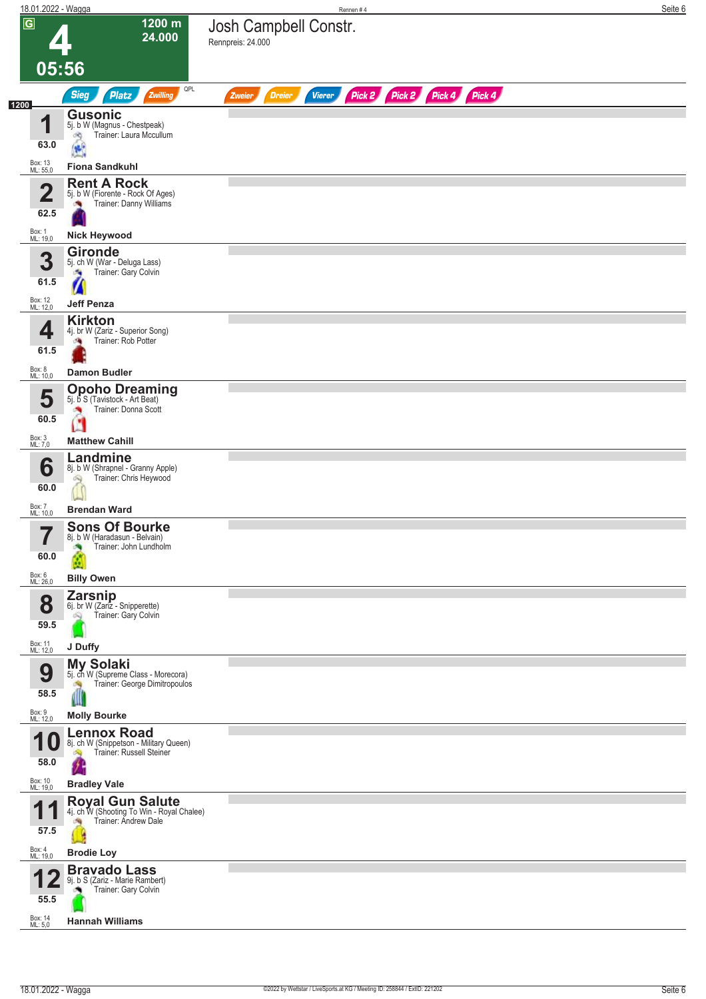| 18.01.2022 - Wagga      |                                                                                | Rennen#4                                                                | Seite 6 |
|-------------------------|--------------------------------------------------------------------------------|-------------------------------------------------------------------------|---------|
| $\overline{G}$          | 1200 m<br>24.000                                                               | Josh Campbell Constr.<br>Rennpreis: 24.000                              |         |
| 05:56                   |                                                                                |                                                                         |         |
| 1200                    | QPL<br>Zwilling<br><b>Sieg</b><br><b>Platz</b>                                 | Pick 2 Pick 2 Pick 4 Pick 4<br><b>Dreier</b><br><b>Vierer</b><br>Zweier |         |
| и                       | <b>Gusonic</b><br>5j. b W (Magnus - Chestpeak)                                 |                                                                         |         |
| 63.0                    | Trainer: Laura Mccullum<br>d9<br>$\bullet$                                     |                                                                         |         |
| Box: 13<br>ML: 55,0     | <b>Fiona Sandkuhl</b>                                                          |                                                                         |         |
| $\overline{\mathbf{2}}$ | <b>Rent A Rock</b><br>5j. b W (Fiorente - Rock Of Ages)                        |                                                                         |         |
| 62.5                    | Trainer: Danny Williams<br>o e                                                 |                                                                         |         |
| Box: 1<br>ML: 19,0      | <b>Nick Heywood</b>                                                            |                                                                         |         |
| 3                       | <b>Gironde</b><br>5j. ch W (War - Deluga Lass)                                 |                                                                         |         |
| 61.5                    | Trainer: Gary Colvin<br>×,                                                     |                                                                         |         |
| Box: 12<br>ML: 12,0     | <b>Jeff Penza</b>                                                              |                                                                         |         |
| 4                       | <b>Kirkton</b><br>4j. br W (Zariz - Superior Song)                             |                                                                         |         |
| 61.5                    | Trainer: Rob Potter<br>a,                                                      |                                                                         |         |
| Box: 8<br>ML: 10,0      | <b>Damon Budler</b>                                                            |                                                                         |         |
| 5                       | <b>Opoho Dreaming</b><br>5j. b S (Tavistock - Art Beat)                        |                                                                         |         |
| 60.5                    | Trainer: Donna Scott<br>×<br>Ø                                                 |                                                                         |         |
| Box: 3<br>ML: 7,0       | <b>Matthew Cahill</b>                                                          |                                                                         |         |
| 6                       | Landmine<br>8j. b W (Shrapnel - Granny Apple)                                  |                                                                         |         |
| 60.0                    | Trainer: Chris Heywood<br>óQ)                                                  |                                                                         |         |
| Box: 7<br>ML: 10,0      | <b>Brendan Ward</b>                                                            |                                                                         |         |
| 7                       | <b>Sons Of Bourke</b><br>8j. b W (Haradasun - Belvain)                         |                                                                         |         |
| ı<br>60.0               | Trainer: John Lundholm                                                         |                                                                         |         |
| Box: 6<br>ML: 26,0      | <b>Billy Owen</b>                                                              |                                                                         |         |
| 8                       | <b>Zarsnip</b><br>6j. br W (Zariz - Snipperette)                               |                                                                         |         |
| 59.5                    | Trainer: Gary Colvin                                                           |                                                                         |         |
| Box: 11<br>ML: 12,0     | J Duffy                                                                        |                                                                         |         |
| 9                       | <b>My Solaki</b><br>5j. ch W (Supreme Class - Morecora)                        |                                                                         |         |
| 58.5                    | Trainer: George Dimitropoulos<br>A                                             |                                                                         |         |
| Box: 9<br>ML: 12,0      | <b>Molly Bourke</b>                                                            |                                                                         |         |
| 10                      | <b>Lennox Road</b><br>8j. ch W (Snippetson - Military Queen)                   |                                                                         |         |
| 58.0                    | Trainer: Russell Steiner                                                       |                                                                         |         |
| Box: 10<br>ML: 19,0     | <b>Bradley Vale</b>                                                            |                                                                         |         |
|                         | Royal Gun Salute<br>4j. ch W (Shooting To Win - Royal Chalee)                  |                                                                         |         |
| 57.5                    | Trainer: Andrew Dale                                                           |                                                                         |         |
| Box: 4<br>ML: 19,0      | <b>Brodie Loy</b>                                                              |                                                                         |         |
| 55.5                    | <b>Bravado Lass</b><br>9j. b S (Zariz - Marie Rambert)<br>Trainer: Gary Colvin |                                                                         |         |
| Box: 14<br>ML: 5,0      | <b>Hannah Williams</b>                                                         |                                                                         |         |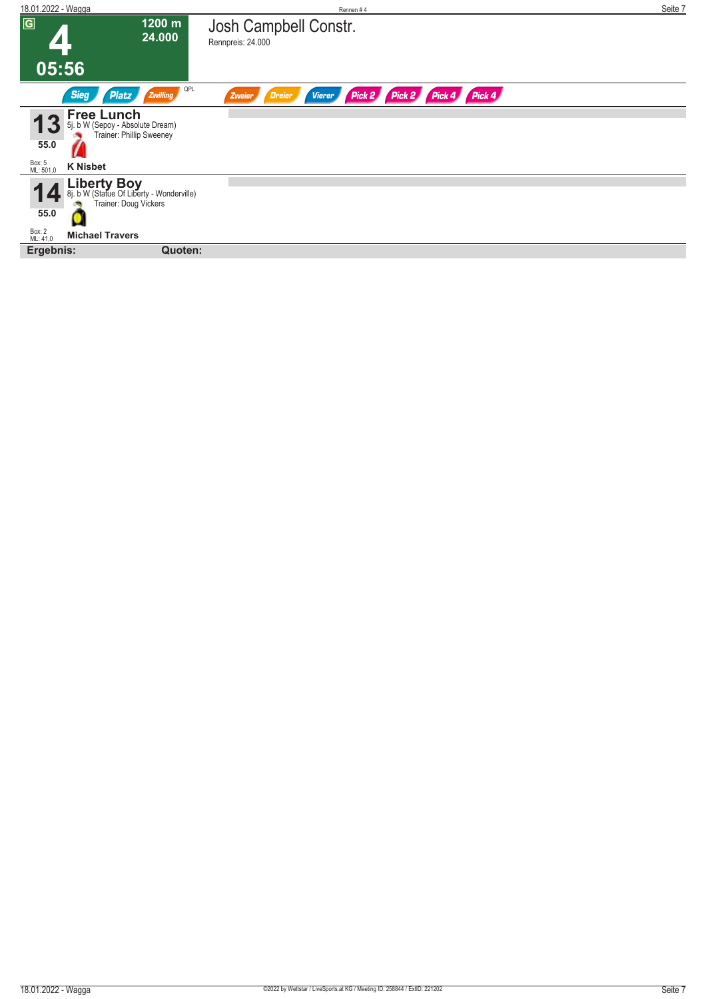| 18.01.2022 - Wagga  |                                                                                   |                  | Rennen#4                                                                   | Seite 7 |
|---------------------|-----------------------------------------------------------------------------------|------------------|----------------------------------------------------------------------------|---------|
| $\overline{G}$      |                                                                                   | 1200 m<br>24.000 | Josh Campbell Constr.<br>Rennpreis: 24.000                                 |         |
| 05:56               |                                                                                   |                  |                                                                            |         |
|                     | <b>Sieg</b><br><b>Platz</b>                                                       | QPL<br>Zwilling  | Pick 2 Pick 4 Pick 4<br>Pick 2<br><b>Vierer</b><br><b>Dreier</b><br>Zweier |         |
| 55.0                | <b>Free Lunch</b><br>5j. b W (Sepoy - Absolute Dream)<br>Trainer: Phillip Sweeney |                  |                                                                            |         |
| Box: 5<br>ML: 501,0 | <b>K Nisbet</b>                                                                   |                  |                                                                            |         |
|                     | Liberty Boy<br>8j. b W (Statue Of Liberty - Wonderville)<br>Trainer: Doug Vickers |                  |                                                                            |         |
| 55.0                |                                                                                   |                  |                                                                            |         |
| Box: 2<br>ML: 41,0  | <b>Michael Travers</b>                                                            |                  |                                                                            |         |
| Ergebnis:           |                                                                                   | Quoten:          |                                                                            |         |
|                     |                                                                                   |                  |                                                                            |         |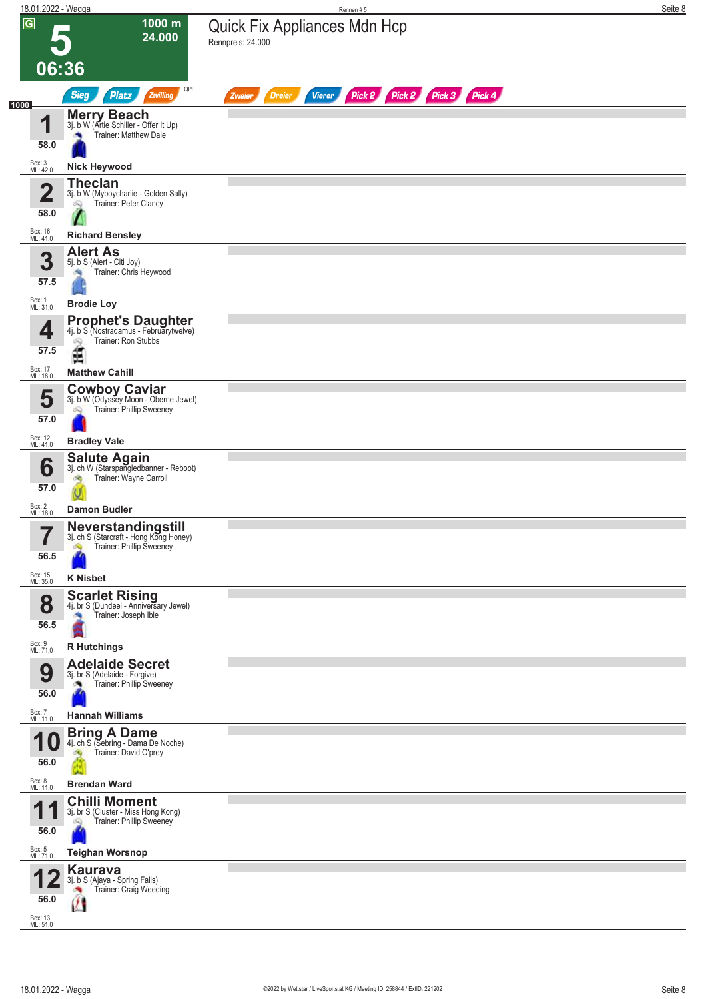|                            | 18.01.2022 - Wagga                                                                             | Rennen#5                                                                | Seite 8 |
|----------------------------|------------------------------------------------------------------------------------------------|-------------------------------------------------------------------------|---------|
| $\overline{G}$             | 1000 m<br>24.000                                                                               | Quick Fix Appliances Mdn Hcp<br>Rennpreis: 24.000                       |         |
| 06:36                      |                                                                                                |                                                                         |         |
|                            | QPL<br>Zwilling<br><b>Sieg</b><br><b>Platz</b>                                                 | Pick 2 Pick 2 Pick 3 Pick 4<br><b>Dreier</b><br><b>Vierer</b><br>Zweier |         |
| 1000<br>и                  | <b>Merry Beach</b><br>3j. b W (Artie Schiller - Offer It Up)                                   |                                                                         |         |
| 58.0                       | Trainer: Matthew Dale                                                                          |                                                                         |         |
| Box: 3<br>ML: 42,0         | <b>Nick Heywood</b>                                                                            |                                                                         |         |
| $\overline{\mathbf{2}}$    | <b>Theclan</b><br>3j. b W (Myboycharlie - Golden Sally)<br>Trainer: Peter Clancy<br>Q          |                                                                         |         |
| 58.0                       |                                                                                                |                                                                         |         |
| Box: 16<br>ML: 41,0        | <b>Richard Bensley</b><br><b>Alert As</b>                                                      |                                                                         |         |
| 3                          | 5j. b S (Alert - Citi Joy)<br>Trainer: Chris Heywood                                           |                                                                         |         |
| 57.5<br>Box: 1<br>ML: 31,0 | <b>Brodie Loy</b>                                                                              |                                                                         |         |
| 4                          | <b>Prophet's Daughter</b><br>41. b S (Nostradamus - Februarytwelve)                            |                                                                         |         |
| 57.5                       | Trainer: Ron Stubbs<br>ê                                                                       |                                                                         |         |
| Box: 17<br>ML: 18,0        | <b>Matthew Cahill</b>                                                                          |                                                                         |         |
| 5<br>57.0                  | <b>Cowboy Caviar</b><br>3j. b W (Odyssey Moon - Oberne Jewel)<br>Trainer: Phillip Sweeney<br>Q |                                                                         |         |
| Box: 12<br>ML: 41,0        | <b>Bradley Vale</b>                                                                            |                                                                         |         |
| 6                          | Salute Again<br>3j. ch W (Starspangledbanner - Reboot)<br>Trainer: Wayne Carroll               |                                                                         |         |
| 57.0<br>Box: 2<br>ML: 18,0 | <b>Damon Budler</b>                                                                            |                                                                         |         |
| $\overline{\mathbf{7}}$    | Neverstandingstill<br>3j. ch S (Starcraft - Hong Kong Honey)                                   |                                                                         |         |
| 56.5                       | Trainer: Phillip Sweeney<br>Ą                                                                  |                                                                         |         |
| Box: 15<br>ML: 35,0        | <b>K Nisbet</b>                                                                                |                                                                         |         |
| 8<br>56.5                  | <b>Scarlet Rising</b><br>4j. br S (Dundeel - Anniversary Jewel)<br>Trainer: Joseph Ible        |                                                                         |         |
| Box: 9<br>ML: 71,0         | <b>R</b> Hutchings                                                                             |                                                                         |         |
| 9<br>56.0                  | <b>Adelaide Secret</b><br>3j. br S (Adelaide - Forgive)<br>Trainer: Phillip Sweeney            |                                                                         |         |
| Box: 7<br>ML: 11,0         | <b>Hannah Williams</b>                                                                         |                                                                         |         |
| 10<br>56.0                 | <b>Bring A Dame</b><br>4j. ch S (Sebring - Dama De Noche)<br>Trainer: David O'prey             |                                                                         |         |
| Box: 8<br>ML: 11,0         | <b>Brendan Ward</b>                                                                            |                                                                         |         |
| 4<br>56.0                  | <b>Chilli Moment</b><br>3j. br S (Cluster - Miss Hong Kong)<br>Trainer: Phillip Sweeney<br>o.  |                                                                         |         |
| Box: 5<br>ML: 71,0         | <b>Teighan Worsnop</b>                                                                         |                                                                         |         |
| 56.0                       | <b>Kaurava</b><br>3j. b S (Ajaya - Spring Falls)<br>Trainer: Craig Weeding                     |                                                                         |         |
| Box: 13                    |                                                                                                |                                                                         |         |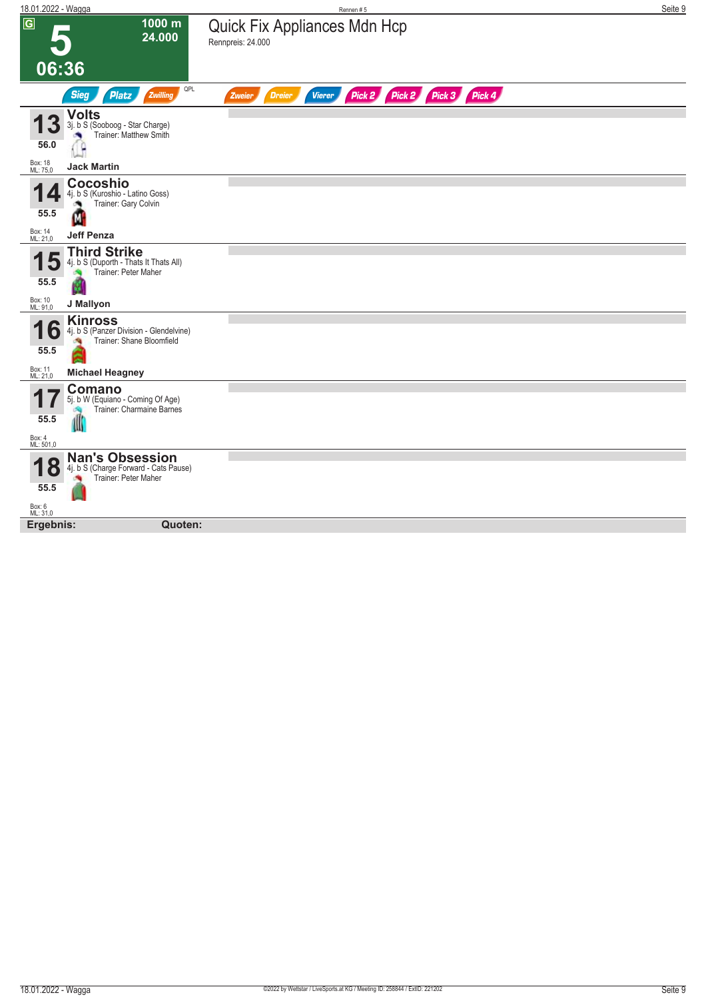| 18.01.2022 - Wagga                      |                                                                                            | Rennen#5                                                                | Seite 9 |
|-----------------------------------------|--------------------------------------------------------------------------------------------|-------------------------------------------------------------------------|---------|
| $\overline{G}$<br>06:36                 | 1000 m<br>24.000                                                                           | Quick Fix Appliances Mdn Hcp<br>Rennpreis: 24.000                       |         |
|                                         | QPL<br><b>Sieg</b><br><b>Platz</b><br>Zwilling                                             | Pick 2 Pick 2 Pick 3 Pick 4<br><b>Vierer</b><br><b>Dreier</b><br>Zweier |         |
| 56.0                                    | <b>Volts</b><br>3j. b S (Sooboog - Star Charge)<br>Trainer: Matthew Smith                  |                                                                         |         |
| Box: 18<br>ML: 75,0                     | <b>Jack Martin</b>                                                                         |                                                                         |         |
| 55.5                                    | Cocoshio<br>4j. b S (Kuroshio - Latino Goss)<br>Trainer: Gary Colvin<br>м                  |                                                                         |         |
| Box: 14<br>ML: 21,0                     | <b>Jeff Penza</b>                                                                          |                                                                         |         |
| 55.5                                    | <b>Third Strike</b><br>4j. b S (Duporth - Thats It Thats All)<br>Trainer: Peter Maher<br>M |                                                                         |         |
| Box: 10<br>ML: 91,0                     | J Mallyon                                                                                  |                                                                         |         |
| O<br>55.5                               | <b>Kinross</b><br>4j. b S (Panzer Division - Glendelvine)<br>Trainer: Shane Bloomfield     |                                                                         |         |
| Box: 11<br>ML: 21,0                     | <b>Michael Heagney</b>                                                                     |                                                                         |         |
| 55.5<br>Box: 4<br>ML: 501,0             | Comano<br>5j. b W (Equiano - Coming Of Age)<br>Trainer: Charmaine Barnes<br>d              |                                                                         |         |
|                                         |                                                                                            |                                                                         |         |
| $\bullet$<br>55.5<br>Box: 6<br>ML: 31,0 | <b>Nan's Obsession</b><br>4j. b S (Charge Forward - Cats Pause)<br>Trainer: Peter Maher    |                                                                         |         |
| Ergebnis:                               | Quoten:                                                                                    |                                                                         |         |
|                                         |                                                                                            |                                                                         |         |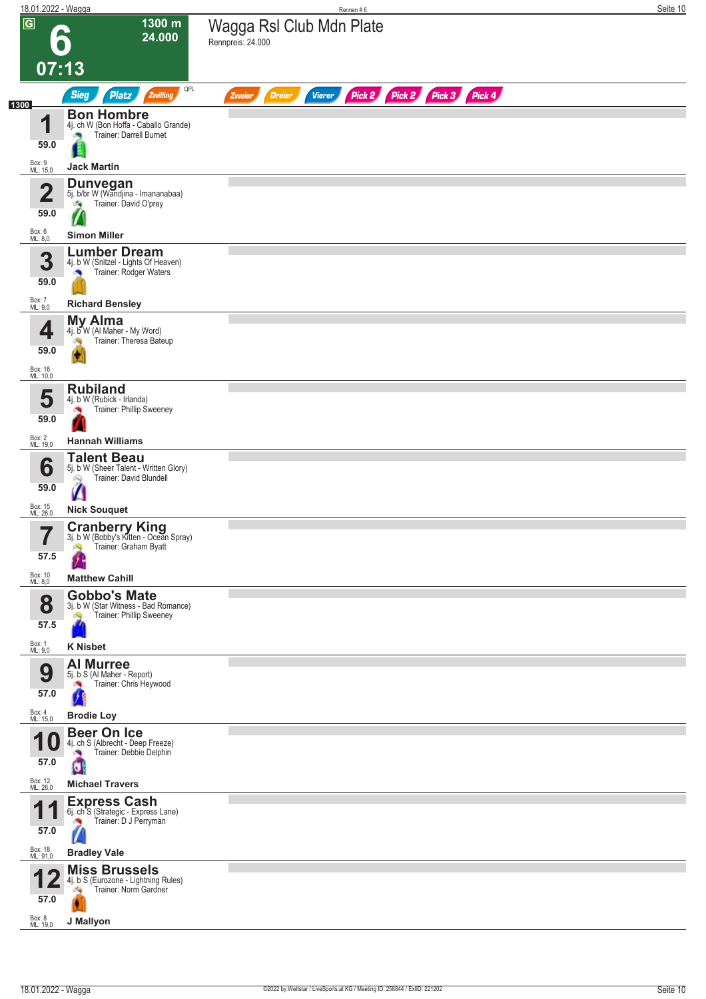| 18.01.2022 - Wagga      |                                                                         | Rennen#6                                                                  | Seite 10 |
|-------------------------|-------------------------------------------------------------------------|---------------------------------------------------------------------------|----------|
| $\overline{G}$          | 1300 m<br>24.000<br>$\bullet$                                           | Wagga Rsl Club Mdn Plate<br>Rennpreis: 24.000                             |          |
| 07:13                   |                                                                         |                                                                           |          |
|                         | QPL<br><b>Sieg</b><br><b>Platz</b><br>Zwilling                          | Pick 2 Pick 2 Pick 3 Pick 4<br><b>Dreier</b><br><b>Vierer</b><br>Zweier   |          |
| 1300<br>И               | <b>Bon Hombre</b><br>4j. ch W (Bon Hoffa - Caballo Grande)              |                                                                           |          |
| 59.0                    | Trainer: Darrell Burnet                                                 |                                                                           |          |
| Box: 9<br>ML: 15,0      | <b>Jack Martin</b>                                                      |                                                                           |          |
| $\overline{\mathbf{2}}$ | <b>Dunvegan</b><br>5j. b/br W (Wandjina - Imananabaa)                   |                                                                           |          |
| 59.0                    | Trainer: David O'prey<br>a a                                            |                                                                           |          |
| Box: 6<br>ML: 8,0       | <b>Simon Miller</b>                                                     |                                                                           |          |
| 3                       | <b>Lumber Dream</b><br>4j. b W (Snitzel - Lights Of Heaven)             |                                                                           |          |
| 59.0                    | Trainer: Rodger Waters<br><b>P</b>                                      |                                                                           |          |
| Box: 7<br>ML: 9,0       | <b>Richard Bensley</b>                                                  |                                                                           |          |
|                         | <b>My Alma</b>                                                          |                                                                           |          |
| 4<br>59.0               | 4j. b W (Al Maher - My Word)<br>Trainer: Theresa Bateup                 |                                                                           |          |
| Box: 16<br>ML: 10,0     |                                                                         |                                                                           |          |
| 5                       | <b>Rubiland</b><br>4j. b W (Rubick - Irlanda)                           |                                                                           |          |
| 59.0                    | Trainer: Phillip Sweeney<br>×                                           |                                                                           |          |
| Box: 2<br>ML: 19,0      | <b>Hannah Williams</b>                                                  |                                                                           |          |
| 6                       | <b>Talent Beau</b><br>5j. b W (Sheer Talent - Written Glory)            |                                                                           |          |
| 59.0                    | Trainer: David Blundell                                                 |                                                                           |          |
| Box: 15<br>ML: 26,0     | и<br><b>Nick Souquet</b>                                                |                                                                           |          |
| 7                       | <b>Cranberry King</b><br>3j. b W (Bobby's Kitten - Ocean Spray)         |                                                                           |          |
| ı<br>57.5               | Trainer: Graham Byatt<br>Ą                                              |                                                                           |          |
| Box: 10<br>ML: 8,0      | <b>Matthew Cahill</b>                                                   |                                                                           |          |
| 8                       | <b>Gobbo's Mate</b><br>3j. b W (Star Witness - Bad Romance)             |                                                                           |          |
| 57.5                    | Trainer: Phillip Sweeney<br>Ŵ                                           |                                                                           |          |
| Box: 1<br>ML: 9,0       | <b>K Nisbet</b>                                                         |                                                                           |          |
| 9                       | <b>Al Murree</b><br>5j. b S (Al Maher - Report)                         |                                                                           |          |
| 57.0                    | Trainer: Chris Heywood                                                  |                                                                           |          |
| Box: 4<br>ML: 15,0      | <b>Brodie Loy</b>                                                       |                                                                           |          |
| и<br>U                  | <b>Beer On Ice</b><br>4j. ch S (Albrecht - Deep Freeze)                 |                                                                           |          |
| 57.0                    | Trainer: Debbie Delphin<br>U                                            |                                                                           |          |
| Box: 12<br>ML: 26,0     | <b>Michael Travers</b>                                                  |                                                                           |          |
| и                       | <b>Express Cash</b><br>6j. ch <sup>"</sup> S (Strategic - Express Lane) |                                                                           |          |
| 57.0                    | Trainer: D J Perryman<br><b>CON</b>                                     |                                                                           |          |
| Box: 18<br>ML: 91,0     | <b>Bradley Vale</b>                                                     |                                                                           |          |
|                         | <b>Miss Brussels</b><br>4j. b S (Eurozone - Lightning Rules)            |                                                                           |          |
| 57.0                    | Trainer: Norm Gardner<br>海                                              |                                                                           |          |
| Box: 8<br>ML: 19,0      | J Mallyon                                                               |                                                                           |          |
|                         |                                                                         |                                                                           |          |
|                         |                                                                         |                                                                           |          |
| 18.01.2022 - Wagga      |                                                                         | @2022 by Wettstar / LiveSports.at KG / Meeting ID: 258844 / ExtID: 221202 | Seite 10 |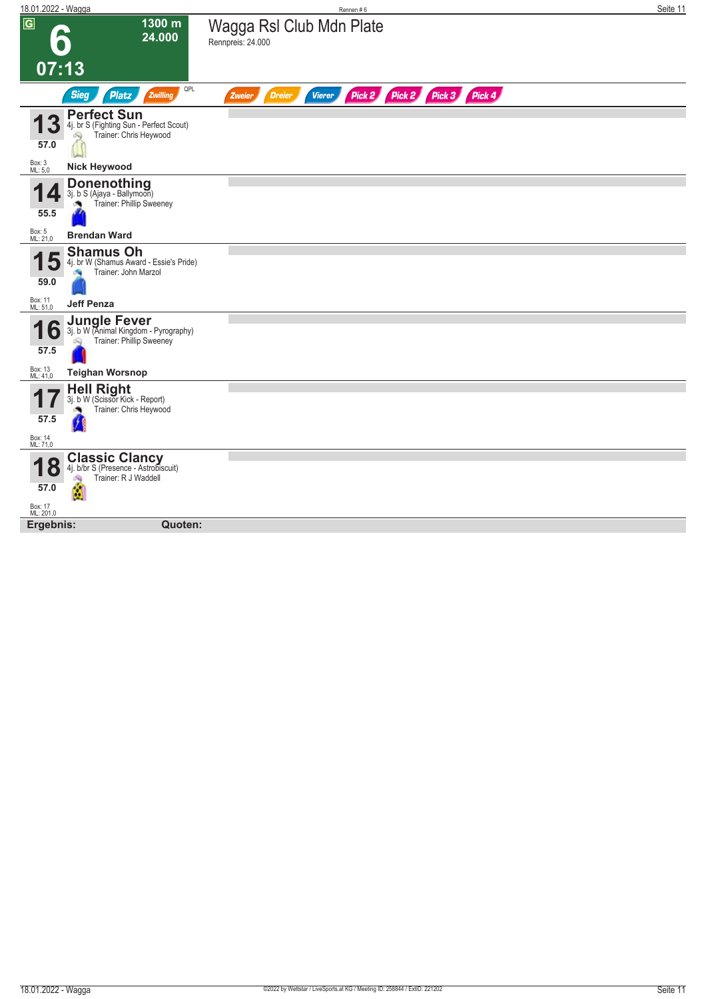| 18.01.2022 - Wagga                                                                                                 |                            | Rennen#6                                                                | Seite 11 |
|--------------------------------------------------------------------------------------------------------------------|----------------------------|-------------------------------------------------------------------------|----------|
| $\overline{G}$<br>$\bullet$                                                                                        | $1300 \text{ m}$<br>24.000 | Wagga Rsl Club Mdn Plate<br>Rennpreis: 24.000                           |          |
| 07:13                                                                                                              |                            |                                                                         |          |
| <b>Sieg</b><br><b>Platz</b>                                                                                        | QPL<br>Zwilling            | Pick 2 Pick 2 Pick 3 Pick 4<br><b>Dreier</b><br><b>Vierer</b><br>Zweier |          |
| <b>Perfect Sun</b><br>4j. br S (Fighting Sun - Perfect Scout)<br>Trainer: Chris Heywood<br>Q<br>57.0               |                            |                                                                         |          |
| Box: 3<br>ML: 5,0<br><b>Nick Heywood</b>                                                                           |                            |                                                                         |          |
| <b>Donenothing</b><br>3j. b S (Ajaya - Ballymoon)<br>Trainer: Phillip Sweeney<br>55.5                              |                            |                                                                         |          |
| Box: 5<br>ML: 21,0<br><b>Brendan Ward</b>                                                                          |                            |                                                                         |          |
| <b>Shamus Oh</b><br>4j. br W (Shamus Award - Essie's Pride)<br>Trainer: John Marzol<br>59.0                        |                            |                                                                         |          |
| Box: 11<br>ML: 51,0<br><b>Jeff Penza</b>                                                                           |                            |                                                                         |          |
| <b>Jungle Fever</b><br>3j. b W (Animal Kingdom - Pyrography)<br>O<br>Trainer: Phillip Sweeney<br>57.5              |                            |                                                                         |          |
| Box: 13<br>ML: 41,0<br><b>Teighan Worsnop</b>                                                                      |                            |                                                                         |          |
| <b>Hell Right</b><br>3j. b W (Scissor Kick - Report)<br>Trainer: Chris Heywood<br>57.5                             |                            |                                                                         |          |
| Box: 14<br>ML: 71,0                                                                                                |                            |                                                                         |          |
| <b>Classic Clancy</b><br>4j. b/br S (Presence - Astrobiscuit)<br>Ō<br>Trainer: R J Waddell<br>淘<br>57.0<br>Box: 17 |                            |                                                                         |          |
| ML: 201,0                                                                                                          |                            |                                                                         |          |
| Ergebnis:                                                                                                          | Quoten:                    |                                                                         |          |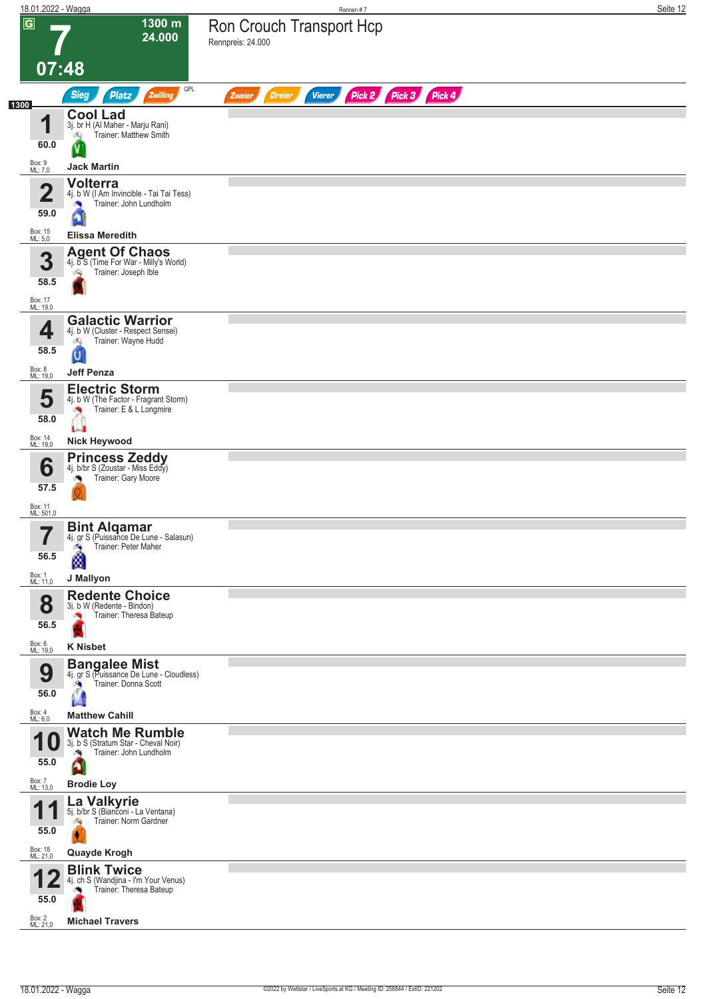